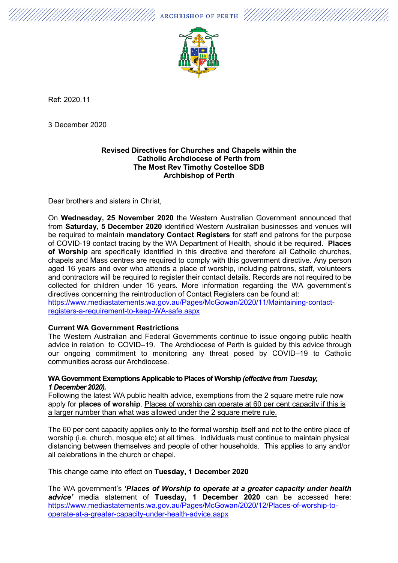$\mathscr{U}_\mathcal{L}$  archbishop of perth  $\mathscr{U}/\mathscr{U}/\mathscr{U}/\mathscr{U}$ 



Ref: 2020.11

3 December 2020

### **Revised Directives for Churches and Chapels within the Catholic Archdiocese of Perth from The Most Rev Timothy Costelloe SDB Archbishop of Perth**

Dear brothers and sisters in Christ,

On **Wednesday, 25 November 2020** the Western Australian Government announced that from **Saturday, 5 December 2020** identified Western Australian businesses and venues will be required to maintain **mandatory Contact Registers** for staff and patrons for the purpose of COVID-19 contact tracing by the WA Department of Health, should it be required. **Places of Worship** are specifically identified in this directive and therefore all Catholic churches, chapels and Mass centres are required to comply with this government directive. Any person aged 16 years and over who attends a place of worship, including patrons, staff, volunteers and contractors will be required to register their contact details. Records are not required to be collected for children under 16 years. More information regarding the WA government's directives concerning the reintroduction of Contact Registers can be found at: [https://www.mediastatements.wa.gov.au/Pages/McGowan/2020/11/Maintaining-contact](https://www.mediastatements.wa.gov.au/Pages/McGowan/2020/11/Maintaining-contact-registers-a-requirement-to-keep-WA-safe.aspx)[registers-a-requirement-to-keep-WA-safe.aspx](https://www.mediastatements.wa.gov.au/Pages/McGowan/2020/11/Maintaining-contact-registers-a-requirement-to-keep-WA-safe.aspx)

#### **Current WA Government Restrictions**

The Western Australian and Federal Governments continue to issue ongoing public health advice in relation to COVID–19. The Archdiocese of Perth is guided by this advice through our ongoing commitment to monitoring any threat posed by COVID–19 to Catholic communities across our Archdiocese.

### **WA Government Exemptions Applicable to Places of Worship** *(effective from Tuesday, 1 December 2020).*

Following the latest WA public health advice, exemptions from the 2 square metre rule now apply for **places of worship**. Places of worship can operate at 60 per cent capacity if this is a larger number than what was allowed under the 2 square metre rule.

The 60 per cent capacity applies only to the formal worship itself and not to the entire place of worship (i.e. church, mosque etc) at all times. Individuals must continue to maintain physical distancing between themselves and people of other households. This applies to any and/or all celebrations in the church or chapel.

This change came into effect on **Tuesday, 1 December 2020**

The WA government's *'Places of Worship to operate at a greater capacity under health advice'* media statement of **Tuesday, 1 December 2020** can be accessed here: [https://www.mediastatements.wa.gov.au/Pages/McGowan/2020/12/Places-of-worship-to](https://www.mediastatements.wa.gov.au/Pages/McGowan/2020/12/Places-of-worship-to-operate-at-a-greater-capacity-under-health-advice.aspx)[operate-at-a-greater-capacity-under-health-advice.aspx](https://www.mediastatements.wa.gov.au/Pages/McGowan/2020/12/Places-of-worship-to-operate-at-a-greater-capacity-under-health-advice.aspx)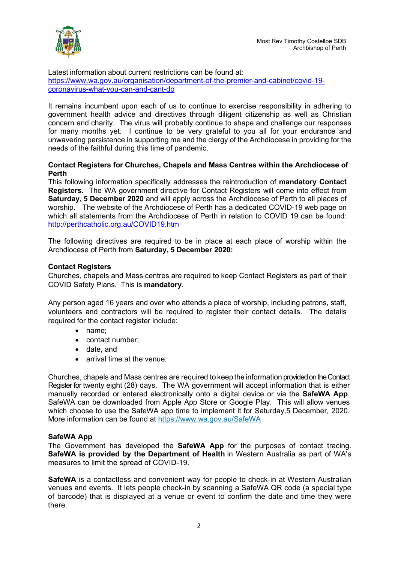

Latest information about current restrictions can be found at: [https://www.wa.gov.au/organisation/department-of-the-premier-and-cabinet/covid-19](https://www.wa.gov.au/organisation/department-of-the-premier-and-cabinet/covid-19-coronavirus-what-you-can-and-cant-do) [coronavirus-what-you-can-and-cant-do](https://www.wa.gov.au/organisation/department-of-the-premier-and-cabinet/covid-19-coronavirus-what-you-can-and-cant-do)

It remains incumbent upon each of us to continue to exercise responsibility in adhering to government health advice and directives through diligent citizenship as well as Christian concern and charity. The virus will probably continue to shape and challenge our responses for many months yet. I continue to be very grateful to you all for your endurance and unwavering persistence in supporting me and the clergy of the Archdiocese in providing for the needs of the faithful during this time of pandemic.

## **Contact Registers for Churches, Chapels and Mass Centres within the Archdiocese of Perth**

This following information specifically addresses the reintroduction of **mandatory Contact Registers.** The WA government directive for Contact Registers will come into effect from **Saturday, 5 December 2020** and will apply across the Archdiocese of Perth to all places of worship**.** The website of the Archdiocese of Perth has a dedicated COVID-19 web page on which all statements from the Archdiocese of Perth in relation to COVID 19 can be found[:](http://perthcatholic.org.au/COVID19.htm) <http://perthcatholic.org.au/COVID19.htm>

The following directives are required to be in place at each place of worship within the Archdiocese of Perth from **Saturday, 5 December 2020:**

# **Contact Registers**

Churches, chapels and Mass centres are required to keep Contact Registers as part of their COVID Safety Plans. This is **mandatory**.

Any person aged 16 years and over who attends a place of worship, including patrons, staff, volunteers and contractors will be required to register their contact details. The details required for the contact register include:

- name;
- contact number;
- date, and
- arrival time at the venue.

Churches, chapels and Mass centres are required to keep the information provided on the Contact Register for twenty eight (28) days. The WA government will accept information that is either manually recorded or entered electronically onto a digital device or via the **SafeWA App**. SafeWA can be downloaded from Apple App Store or Google Play. This will allow venues which choose to use the SafeWA app time to implement it for Saturday, 5 December, 2020. More information can be found at <https://www.wa.gov.au/SafeWA>

#### **SafeWA App**

The Government has developed the **SafeWA App** for the purposes of contact tracing. **SafeWA is provided by the Department of Health** in Western Australia as part of WA's measures to limit the spread of COVID-19.

**SafeWA** is a contactless and convenient way for people to check-in at Western Australian venues and events. It lets people check-in by scanning a SafeWA QR code (a special type of barcode) that is displayed at a venue or event to confirm the date and time they were there.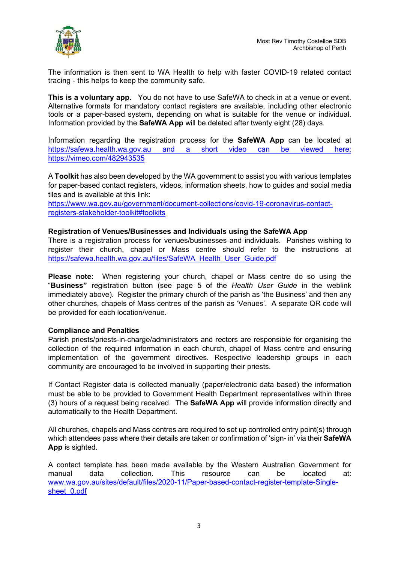

The information is then sent to WA Health to help with faster COVID-19 related contact tracing - this helps to keep the community safe.

**This is a voluntary app.** You do not have to use SafeWA to check in at a venue or event. Alternative formats for mandatory contact registers are available, including other electronic tools or a paper-based system, depending on what is suitable for the venue or individual. Information provided by the **SafeWA App** will be deleted after twenty eight (28) days.

Information regarding the registration process for the **SafeWA App** can be located at [https://safewa.health.wa.gov.au](https://safewa.health.wa.gov.au/) and a short video can be viewed here: <https://vimeo.com/482943535>

A **Toolkit** has also been developed by the WA government to assist you with various templates for paper-based contact registers, videos, information sheets, how to guides and social media tiles and is available at this link:

[https://www.wa.gov.au/government/document-collections/covid-19-coronavirus-contact](https://www.wa.gov.au/government/document-collections/covid-19-coronavirus-contact-registers-stakeholder-toolkit#toolkits)[registers-stakeholder-toolkit#toolkits](https://www.wa.gov.au/government/document-collections/covid-19-coronavirus-contact-registers-stakeholder-toolkit#toolkits)

### **Registration of Venues/Businesses and Individuals using the SafeWA App**

There is a registration process for venues/businesses and individuals. Parishes wishing to register their church, chapel or Mass centre should refer to the instructions at [https://safewa.health.wa.gov.au/files/SafeWA\\_Health\\_User\\_Guide.pdf](https://safewa.health.wa.gov.au/files/SafeWA_Health_User_Guide.pdf)

**Please note:** When registering your church, chapel or Mass centre do so using the "**Business"** registration button (see page 5 of the *Health User Guide* in the weblink immediately above). Register the primary church of the parish as 'the Business' and then any other churches, chapels of Mass centres of the parish as 'Venues'. A separate QR code will be provided for each location/venue.

#### **Compliance and Penalties**

Parish priests/priests-in-charge/administrators and rectors are responsible for organising the collection of the required information in each church, chapel of Mass centre and ensuring implementation of the government directives. Respective leadership groups in each community are encouraged to be involved in supporting their priests.

If Contact Register data is collected manually (paper/electronic data based) the information must be able to be provided to Government Health Department representatives within three (3) hours of a request being received. The **SafeWA App** will provide information directly and automatically to the Health Department.

All churches, chapels and Mass centres are required to set up controlled entry point(s) through which attendees pass where their details are taken or confirmation of 'sign- in' via their **SafeWA App** is sighted.

A contact template has been made available by the Western Australian Government for manual data collection. This resource can be located at: [www.wa.gov.au/sites/default/files/2020-11/Paper-based-contact-register-template-Single](http://www.wa.gov.au/sites/default/files/2020-11/Paper-based-contact-register-template-Single-sheet_0.pdf)sheet 0.pdf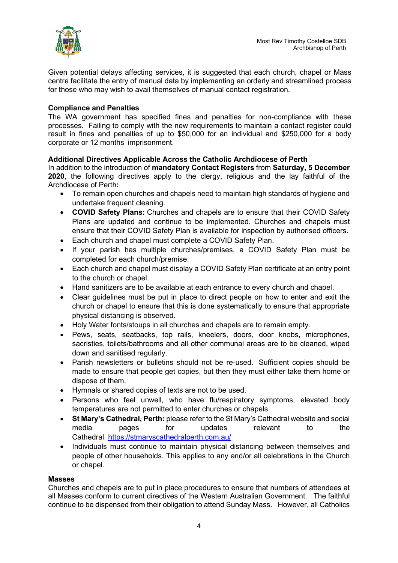

Given potential delays affecting services, it is suggested that each church, chapel or Mass centre facilitate the entry of manual data by implementing an orderly and streamlined process for those who may wish to avail themselves of manual contact registration.

## **Compliance and Penalties**

The WA government has specified fines and penalties for non-compliance with these processes. Failing to comply with the new requirements to maintain a contact register could result in fines and penalties of up to \$50,000 for an individual and \$250,000 for a body corporate or 12 months' imprisonment.

### **Additional Directives Applicable Across the Catholic Archdiocese of Perth**

In addition to the introduction of **mandatory Contact Registers** from **Saturday, 5 December 2020**, the following directives apply to the clergy, religious and the lay faithful of the Archdiocese of Perth**:**

- To remain open churches and chapels need to maintain high standards of hygiene and undertake frequent cleaning.
- **COVID Safety Plans:** Churches and chapels are to ensure that their COVID Safety Plans are updated and continue to be implemented. Churches and chapels must ensure that their COVID Safety Plan is available for inspection by authorised officers.
- Each church and chapel must complete a COVID Safety Plan.
- If your parish has multiple churches/premises, a COVID Safety Plan must be completed for each church/premise.
- Each church and chapel must display a COVID Safety Plan certificate at an entry point to the church or chapel.
- Hand sanitizers are to be available at each entrance to every church and chapel.
- Clear guidelines must be put in place to direct people on how to enter and exit the church or chapel to ensure that this is done systematically to ensure that appropriate physical distancing is observed.
- Holy Water fonts/stoups in all churches and chapels are to remain empty.
- Pews, seats, seatbacks, top rails, kneelers, doors, door knobs, microphones, sacristies, toilets/bathrooms and all other communal areas are to be cleaned, wiped down and sanitised regularly.
- Parish newsletters or bulletins should not be re-used. Sufficient copies should be made to ensure that people get copies, but then they must either take them home or dispose of them.
- Hymnals or shared copies of texts are not to be used.
- Persons who feel unwell, who have flu/respiratory symptoms, elevated body temperatures are not permitted to enter churches or chapels.
- **St Mary's Cathedral, Perth:** please refer to the St Mary's Cathedral website and social media pages for updates relevant to the Cathedral <https://stmaryscathedralperth.com.au/>
- Individuals must continue to maintain physical distancing between themselves and people of other households. This applies to any and/or all celebrations in the Church or chapel.

#### **Masses**

Churches and chapels are to put in place procedures to ensure that numbers of attendees at all Masses conform to current directives of the Western Australian Government. The faithful continue to be dispensed from their obligation to attend Sunday Mass. However, all Catholics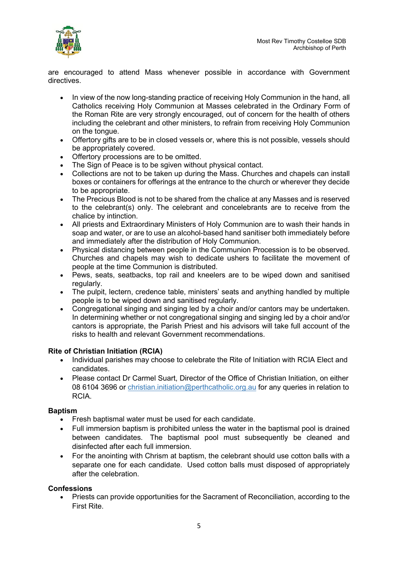

are encouraged to attend Mass whenever possible in accordance with Government directives.

- In view of the now long-standing practice of receiving Holy Communion in the hand, all Catholics receiving Holy Communion at Masses celebrated in the Ordinary Form of the Roman Rite are very strongly encouraged, out of concern for the health of others including the celebrant and other ministers, to refrain from receiving Holy Communion on the tongue.
- Offertory gifts are to be in closed vessels or, where this is not possible, vessels should be appropriately covered.
- Offertory processions are to be omitted.
- The Sign of Peace is to be sgiven without physical contact.
- Collections are not to be taken up during the Mass. Churches and chapels can install boxes or containers for offerings at the entrance to the church or wherever they decide to be appropriate.
- The Precious Blood is not to be shared from the chalice at any Masses and is reserved to the celebrant(s) only. The celebrant and concelebrants are to receive from the chalice by intinction.
- All priests and Extraordinary Ministers of Holy Communion are to wash their hands in soap and water, or are to use an alcohol-based hand sanitiser both immediately before and immediately after the distribution of Holy Communion.
- Physical distancing between people in the Communion Procession is to be observed. Churches and chapels may wish to dedicate ushers to facilitate the movement of people at the time Communion is distributed.
- Pews, seats, seatbacks, top rail and kneelers are to be wiped down and sanitised regularly.
- The pulpit, lectern, credence table, ministers' seats and anything handled by multiple people is to be wiped down and sanitised regularly.
- Congregational singing and singing led by a choir and/or cantors may be undertaken. In determining whether or not congregational singing and singing led by a choir and/or cantors is appropriate, the Parish Priest and his advisors will take full account of the risks to health and relevant Government recommendations.

# **Rite of Christian Initiation (RCIA)**

- Individual parishes may choose to celebrate the Rite of Initiation with RCIA Elect and candidates.
- Please contact Dr Carmel Suart, Director of the Office of Christian Initiation, on either 08 6104 3696 or [christian.initiation@perthcatholic.org.au](mailto:christian.initiation@perthcatholic.org.au) for any queries in relation to RCIA.

# **Baptism**

- Fresh baptismal water must be used for each candidate.
- Full immersion baptism is prohibited unless the water in the baptismal pool is drained between candidates. The baptismal pool must subsequently be cleaned and disinfected after each full immersion.
- For the anointing with Chrism at baptism, the celebrant should use cotton balls with a separate one for each candidate. Used cotton balls must disposed of appropriately after the celebration.

# **Confessions**

• Priests can provide opportunities for the Sacrament of Reconciliation, according to the First Rite.